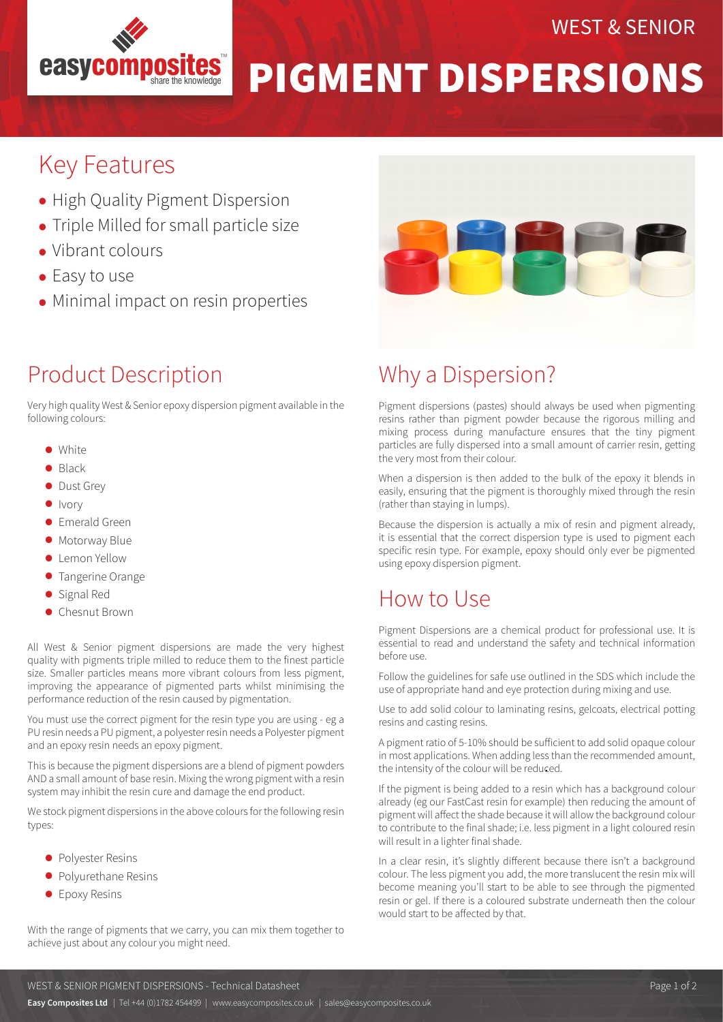

#### WEST & SENIOR

# PIGMENT DISPERSIONS

## Key Features

- High Quality Pigment Dispersion
- Triple Milled for small particle size
- Vibrant colours
- Easy to use
- Minimal impact on resin properties

### Product Description

Very high quality West & Senior epoxy dispersion pigment available in the following colours:

- White
- Black
- Dust Grey
- $\bullet$  Ivory
- Emerald Green
- Motorway Blue
- Lemon Yellow
- **Tangerine Orange**
- Signal Red
- Chesnut Brown

All West & Senior pigment dispersions are made the very highest quality with pigments triple milled to reduce them to the finest particle size. Smaller particles means more vibrant colours from less pigment, improving the appearance of pigmented parts whilst minimising the performance reduction of the resin caused by pigmentation.

You must use the correct pigment for the resin type you are using - eg a PU resin needs a PU pigment, a polyester resin needs a Polyester pigment and an epoxy resin needs an epoxy pigment.

This is because the pigment dispersions are a blend of pigment powders AND a small amount of base resin. Mixing the wrong pigment with a resin system may inhibit the resin cure and damage the end product.

We stock pigment dispersions in the above colours for the following resin types:

- Polyester Resins
- Polyurethane Resins
- **•** Epoxy Resins

With the range of pigments that we carry, you can mix them together to achieve just about any colour you might need.



### Why a Dispersion?

Pigment dispersions (pastes) should always be used when pigmenting resins rather than pigment powder because the rigorous milling and mixing process during manufacture ensures that the tiny pigment particles are fully dispersed into a small amount of carrier resin, getting the very most from their colour.

When a dispersion is then added to the bulk of the epoxy it blends in easily, ensuring that the pigment is thoroughly mixed through the resin (rather than staying in lumps).

Because the dispersion is actually a mix of resin and pigment already, it is essential that the correct dispersion type is used to pigment each specific resin type. For example, epoxy should only ever be pigmented using epoxy dispersion pigment.

#### How to Use

Pigment Dispersions are a chemical product for professional use. It is essential to read and understand the safety and technical information before use.

Follow the guidelines for safe use outlined in the SDS which include the use of appropriate hand and eye protection during mixing and use.

Use to add solid colour to laminating resins, gelcoats, electrical potting resins and casting resins.

A pigment ratio of 5-10% should be sufficient to add solid opaque colour in most applications. When adding less than the recommended amount, the intensity of the colour will be reduced.

If the pigment is being added to a resin which has a background colour already (eg our FastCast resin for example) then reducing the amount of pigment will affect the shade because it will allow the background colour to contribute to the final shade; i.e. less pigment in a light coloured resin will result in a lighter final shade.

In a clear resin, it's slightly different because there isn't a background colour. The less pigment you add, the more translucent the resin mix will become meaning you'll start to be able to see through the pigmented resin or gel. If there is a coloured substrate underneath then the colour would start to be affected by that.